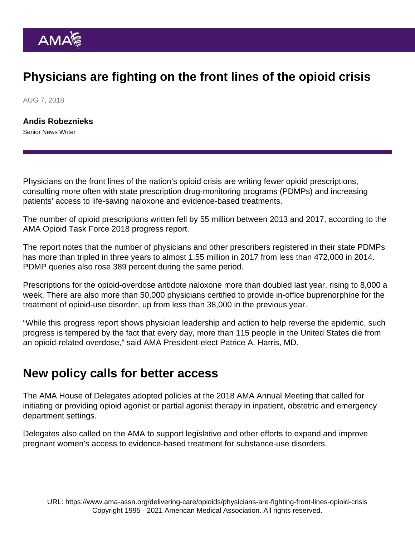## Physicians are fighting on the front lines of the opioid crisis

AUG 7, 2018

[Andis Robeznieks](https://www.ama-assn.org/news-leadership-viewpoints/authors-news-leadership-viewpoints/andis-robeznieks) Senior News Writer

Physicians on the front lines of the nation's opioid crisis are writing fewer opioid prescriptions, consulting more often with state prescription drug-monitoring programs (PDMPs) and increasing patients' access to life-saving naloxone and evidence-based treatments.

The number of opioid prescriptions written fell by 55 million between 2013 and 2017, according to the [AMA Opioid Task Force](http://www.end-opioid-epidemic.org/) 2018 [progress report](http://www.end-opioid-epidemic.org/wp-content/uploads/2018/05/AMA2018-OpioidReport-FINAL-updated.pdf).

The report notes that the number of physicians and other prescribers registered in their state PDMPs has more than tripled in three years to almost 1.55 million in 2017 from less than 472,000 in 2014. PDMP queries also rose 389 percent during the same period.

Prescriptions for the opioid-overdose antidote naloxone more than doubled last year, rising to 8,000 a week. There are also more than 50,000 physicians certified to provide in-office buprenorphine for the treatment of opioid-use disorder, up from less than 38,000 in the previous year.

"While this progress report shows physician leadership and action to help reverse the epidemic, such progress is tempered by the fact that every day, more than 115 people in the United States die from an opioid-related overdose," said AMA President-elect Patrice A. Harris, MD.

## New policy calls for better access

The AMA House of Delegates adopted policies at the 2018 AMA Annual Meeting that called for initiating or providing opioid agonist or partial agonist therapy in inpatient, obstetric and emergency department settings.

Delegates also called on the AMA to support legislative and other efforts to expand and improve pregnant women's access to evidence-based treatment for substance-use disorders.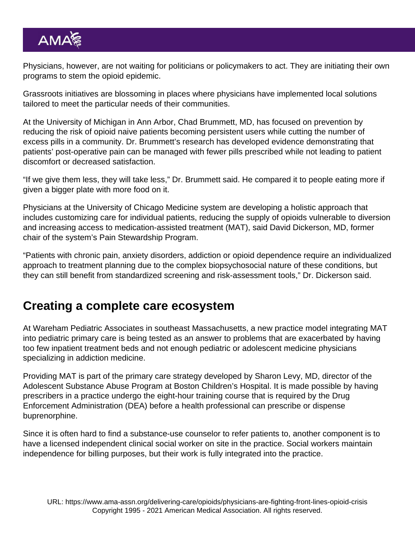Physicians, however, are not waiting for politicians or policymakers to act. They are initiating their own programs to stem the opioid epidemic.

Grassroots initiatives are blossoming in places where physicians have implemented local solutions tailored to meet the particular needs of their communities.

At the University of Michigan in Ann Arbor, Chad Brummett, MD, has focused on prevention by reducing the risk of opioid naive patients becoming persistent users while cutting the number of excess pills in a community. Dr. Brummett's research has developed evidence demonstrating that patients' post-operative pain can be managed with fewer pills prescribed while not leading to patient discomfort or decreased satisfaction.

"If we give them less, they will take less," Dr. Brummett said. He compared it to people eating more if given a bigger plate with more food on it.

Physicians at the University of Chicago Medicine system are developing a holistic approach that includes customizing care for individual patients, reducing the supply of opioids vulnerable to diversion and increasing access to medication-assisted treatment (MAT), said David Dickerson, MD, former chair of the system's Pain Stewardship Program.

"Patients with chronic pain, anxiety disorders, addiction or opioid dependence require an individualized approach to treatment planning due to the complex biopsychosocial nature of these conditions, but they can still benefit from standardized screening and risk-assessment tools," Dr. Dickerson said.

## Creating a complete care ecosystem

At Wareham Pediatric Associates in southeast Massachusetts, a new practice model integrating MAT into pediatric primary care is being tested as an answer to problems that are exacerbated by having too few inpatient treatment beds and not enough pediatric or adolescent medicine physicians specializing in addiction medicine.

Providing MAT is part of the primary care strategy developed by Sharon Levy, MD, director of the Adolescent Substance Abuse Program at Boston Children's Hospital. It is made possible by having prescribers in a practice undergo the eight-hour training course that is required by the Drug Enforcement Administration (DEA) before a health professional can prescribe or dispense buprenorphine.

Since it is often hard to find a substance-use counselor to refer patients to, another component is to have a licensed independent clinical social worker on site in the practice. Social workers maintain independence for billing purposes, but their work is fully integrated into the practice.